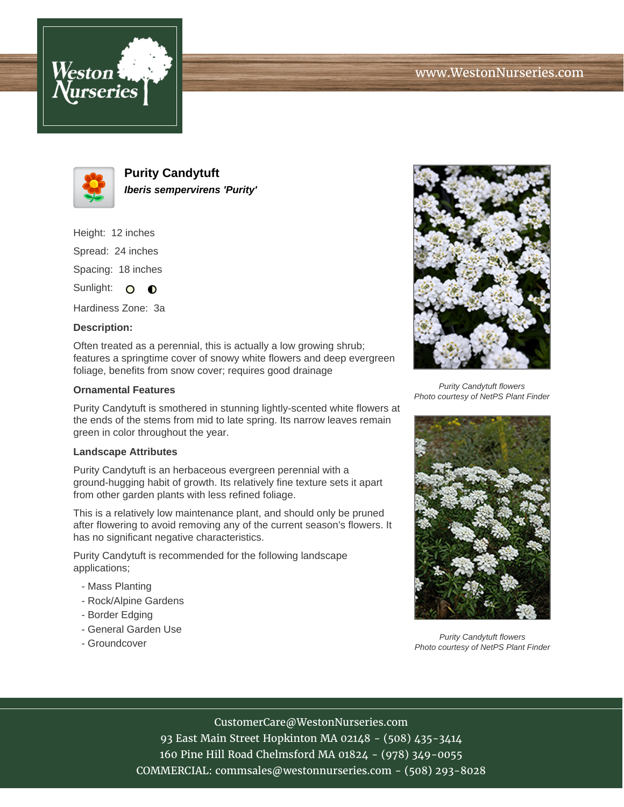



**Purity Candytuft Iberis sempervirens 'Purity'**

Height: 12 inches Spread: 24 inches Spacing: 18 inches

Sunlight: O  $\bullet$ 

Hardiness Zone: 3a

## **Description:**

Often treated as a perennial, this is actually a low growing shrub; features a springtime cover of snowy white flowers and deep evergreen foliage, benefits from snow cover; requires good drainage

## **Ornamental Features**

Purity Candytuft is smothered in stunning lightly-scented white flowers at the ends of the stems from mid to late spring. Its narrow leaves remain green in color throughout the year.

## **Landscape Attributes**

Purity Candytuft is an herbaceous evergreen perennial with a ground-hugging habit of growth. Its relatively fine texture sets it apart from other garden plants with less refined foliage.

This is a relatively low maintenance plant, and should only be pruned after flowering to avoid removing any of the current season's flowers. It has no significant negative characteristics.

Purity Candytuft is recommended for the following landscape applications;

- Mass Planting
- Rock/Alpine Gardens
- Border Edging
- General Garden Use
- Groundcover



Purity Candytuft flowers Photo courtesy of NetPS Plant Finder



Purity Candytuft flowers Photo courtesy of NetPS Plant Finder

CustomerCare@WestonNurseries.com

93 East Main Street Hopkinton MA 02148 - (508) 435-3414 160 Pine Hill Road Chelmsford MA 01824 - (978) 349-0055 COMMERCIAL: commsales@westonnurseries.com - (508) 293-8028